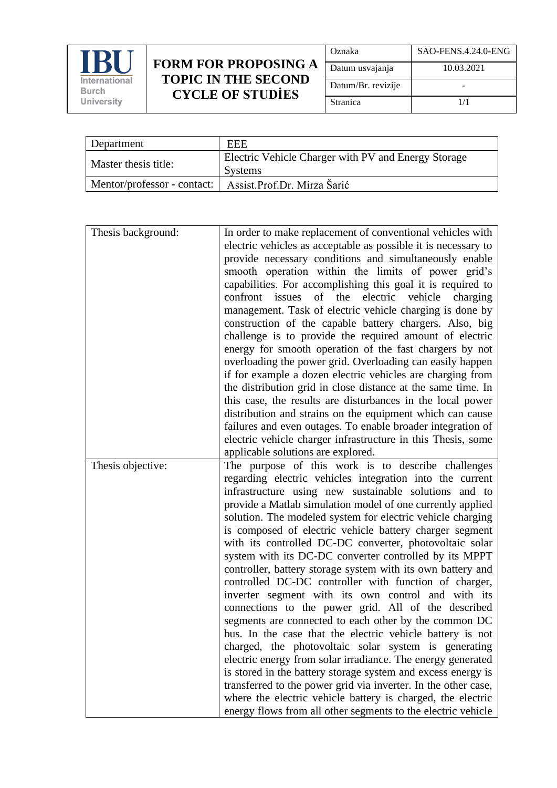

## **FORM FOR PROPOSING A TOPIC IN THE SECOND CYCLE OF STUDİES**

| Oznaka             | SAO-FENS.4.24.0-ENG |
|--------------------|---------------------|
| Datum usvajanja    | 10.03.2021          |
| Datum/Br. revizije |                     |
| Stranica           | 1/1                 |

| Department                  | <b>EEE</b>                                                     |
|-----------------------------|----------------------------------------------------------------|
| Master thesis title:        | Electric Vehicle Charger with PV and Energy Storage<br>Systems |
| Mentor/professor - contact: | Assist.Prof.Dr. Mirza Šarić                                    |

| Thesis background: | In order to make replacement of conventional vehicles with<br>electric vehicles as acceptable as possible it is necessary to<br>provide necessary conditions and simultaneously enable<br>smooth operation within the limits of power grid's<br>capabilities. For accomplishing this goal it is required to<br>confront issues of the electric vehicle<br>charging<br>management. Task of electric vehicle charging is done by<br>construction of the capable battery chargers. Also, big<br>challenge is to provide the required amount of electric<br>energy for smooth operation of the fast chargers by not<br>overloading the power grid. Overloading can easily happen<br>if for example a dozen electric vehicles are charging from<br>the distribution grid in close distance at the same time. In                                                                                                                                                                                                                                                                                                                                                             |
|--------------------|------------------------------------------------------------------------------------------------------------------------------------------------------------------------------------------------------------------------------------------------------------------------------------------------------------------------------------------------------------------------------------------------------------------------------------------------------------------------------------------------------------------------------------------------------------------------------------------------------------------------------------------------------------------------------------------------------------------------------------------------------------------------------------------------------------------------------------------------------------------------------------------------------------------------------------------------------------------------------------------------------------------------------------------------------------------------------------------------------------------------------------------------------------------------|
|                    | this case, the results are disturbances in the local power<br>distribution and strains on the equipment which can cause                                                                                                                                                                                                                                                                                                                                                                                                                                                                                                                                                                                                                                                                                                                                                                                                                                                                                                                                                                                                                                                |
|                    | failures and even outages. To enable broader integration of                                                                                                                                                                                                                                                                                                                                                                                                                                                                                                                                                                                                                                                                                                                                                                                                                                                                                                                                                                                                                                                                                                            |
|                    | electric vehicle charger infrastructure in this Thesis, some                                                                                                                                                                                                                                                                                                                                                                                                                                                                                                                                                                                                                                                                                                                                                                                                                                                                                                                                                                                                                                                                                                           |
|                    | applicable solutions are explored.                                                                                                                                                                                                                                                                                                                                                                                                                                                                                                                                                                                                                                                                                                                                                                                                                                                                                                                                                                                                                                                                                                                                     |
| Thesis objective:  | The purpose of this work is to describe challenges<br>regarding electric vehicles integration into the current<br>infrastructure using new sustainable solutions and to<br>provide a Matlab simulation model of one currently applied<br>solution. The modeled system for electric vehicle charging<br>is composed of electric vehicle battery charger segment<br>with its controlled DC-DC converter, photovoltaic solar<br>system with its DC-DC converter controlled by its MPPT<br>controller, battery storage system with its own battery and<br>controlled DC-DC controller with function of charger,<br>inverter segment with its own control and with its<br>connections to the power grid. All of the described<br>segments are connected to each other by the common DC<br>bus. In the case that the electric vehicle battery is not<br>charged, the photovoltaic solar system is generating<br>electric energy from solar irradiance. The energy generated<br>is stored in the battery storage system and excess energy is<br>transferred to the power grid via inverter. In the other case,<br>where the electric vehicle battery is charged, the electric |
|                    | energy flows from all other segments to the electric vehicle                                                                                                                                                                                                                                                                                                                                                                                                                                                                                                                                                                                                                                                                                                                                                                                                                                                                                                                                                                                                                                                                                                           |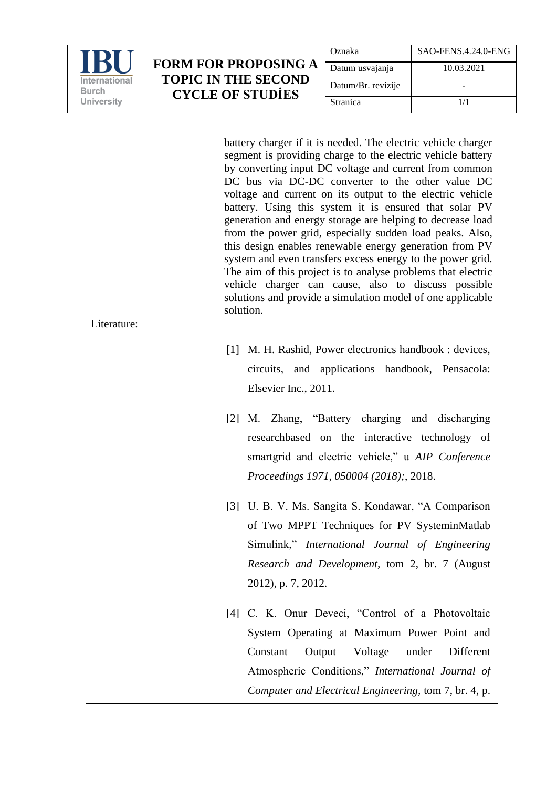

## **FORM FOR PROPOSING A TOPIC IN THE SECOND CYCLE OF STUDİES**

| Oznaka             | SAO-FENS.4.24.0-ENG |
|--------------------|---------------------|
| Datum usvajanja    | 10.03.2021          |
| Datum/Br. revizije |                     |
| Stranica           | 1/1                 |

|             | battery charger if it is needed. The electric vehicle charger<br>segment is providing charge to the electric vehicle battery<br>by converting input DC voltage and current from common<br>DC bus via DC-DC converter to the other value DC<br>voltage and current on its output to the electric vehicle<br>battery. Using this system it is ensured that solar PV<br>generation and energy storage are helping to decrease load<br>from the power grid, especially sudden load peaks. Also,<br>this design enables renewable energy generation from PV<br>system and even transfers excess energy to the power grid.<br>The aim of this project is to analyse problems that electric<br>vehicle charger can cause, also to discuss possible<br>solutions and provide a simulation model of one applicable<br>solution. |
|-------------|------------------------------------------------------------------------------------------------------------------------------------------------------------------------------------------------------------------------------------------------------------------------------------------------------------------------------------------------------------------------------------------------------------------------------------------------------------------------------------------------------------------------------------------------------------------------------------------------------------------------------------------------------------------------------------------------------------------------------------------------------------------------------------------------------------------------|
| Literature: |                                                                                                                                                                                                                                                                                                                                                                                                                                                                                                                                                                                                                                                                                                                                                                                                                        |
|             | [1] M. H. Rashid, Power electronics handbook : devices,<br>circuits, and applications handbook, Pensacola:<br>Elsevier Inc., 2011.                                                                                                                                                                                                                                                                                                                                                                                                                                                                                                                                                                                                                                                                                     |
|             | [2] M. Zhang, "Battery charging and discharging<br>researchbased on the interactive technology of<br>smartgrid and electric vehicle," u AIP Conference<br><i>Proceedings 1971, 050004 (2018);, 2018.</i>                                                                                                                                                                                                                                                                                                                                                                                                                                                                                                                                                                                                               |
|             | [3] U. B. V. Ms. Sangita S. Kondawar, "A Comparison<br>of Two MPPT Techniques for PV SysteminMatlab<br>Simulink," <i>International Journal of Engineering</i><br>Research and Development, tom 2, br. 7 (August<br>2012), p. 7, 2012.                                                                                                                                                                                                                                                                                                                                                                                                                                                                                                                                                                                  |
|             | C. K. Onur Deveci, "Control of a Photovoltaic<br>[4]<br>System Operating at Maximum Power Point and<br>Constant<br>Output<br>Voltage<br>Different<br>under<br>Atmospheric Conditions," International Journal of<br>Computer and Electrical Engineering, tom 7, br. 4, p.                                                                                                                                                                                                                                                                                                                                                                                                                                                                                                                                               |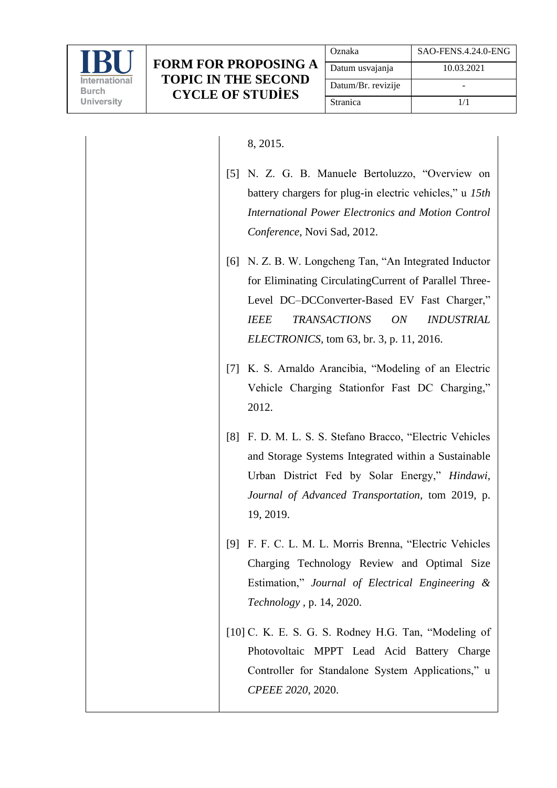

## 8, 2015.

- [5] N. Z. G. B. Manuele Bertoluzzo, "Overview on battery chargers for plug-in electric vehicles," u *15th International Power Electronics and Motion Control Conference*, Novi Sad, 2012.
- [6] N. Z. B. W. Longcheng Tan, "An Integrated Inductor for Eliminating CirculatingCurrent of Parallel Three-Level DC–DCConverter-Based EV Fast Charger," *IEEE TRANSACTIONS ON INDUSTRIAL ELECTRONICS,* tom 63, br. 3, p. 11, 2016.
- [7] K. S. Arnaldo Arancibia, "Modeling of an Electric Vehicle Charging Stationfor Fast DC Charging," 2012.
- [8] F. D. M. L. S. S. Stefano Bracco, "Electric Vehicles and Storage Systems Integrated within a Sustainable Urban District Fed by Solar Energy," *Hindawi, Journal of Advanced Transportation,* tom 2019, p. 19, 2019.
- [9] F. F. C. L. M. L. Morris Brenna, "Electric Vehicles Charging Technology Review and Optimal Size Estimation," *Journal of Electrical Engineering & Technology ,* p. 14, 2020.
- [10] C. K. E. S. G. S. Rodney H.G. Tan, "Modeling of Photovoltaic MPPT Lead Acid Battery Charge Controller for Standalone System Applications," u *CPEEE 2020*, 2020.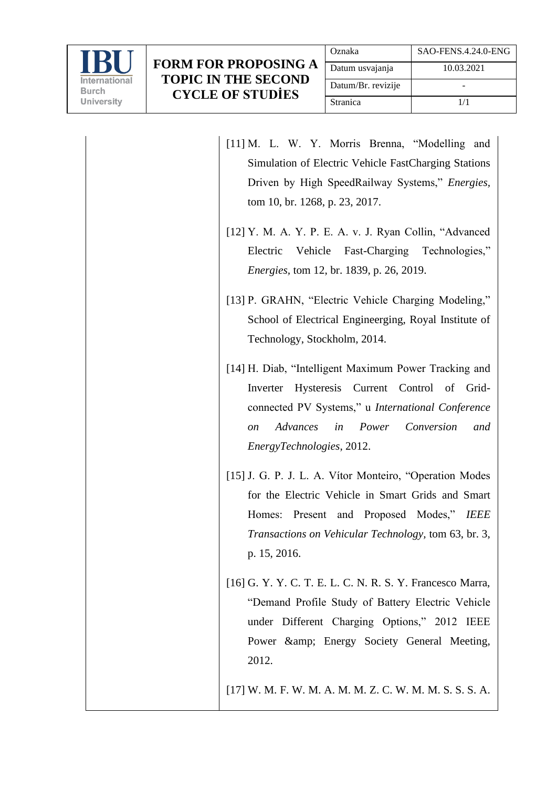

| [11] M. L. W. Y. Morris Brenna, "Modelling and<br>Simulation of Electric Vehicle FastCharging Stations<br>Driven by High SpeedRailway Systems," Energies,<br>tom 10, br. 1268, p. 23, 2017.                                                      |
|--------------------------------------------------------------------------------------------------------------------------------------------------------------------------------------------------------------------------------------------------|
| [12] Y. M. A. Y. P. E. A. v. J. Ryan Collin, "Advanced<br>Vehicle Fast-Charging Technologies,"<br>Electric<br><i>Energies, tom 12, br. 1839, p. 26, 2019.</i>                                                                                    |
| [13] P. GRAHN, "Electric Vehicle Charging Modeling,"<br>School of Electrical Engineerging, Royal Institute of<br>Technology, Stockholm, 2014.                                                                                                    |
| [14] H. Diab, "Intelligent Maximum Power Tracking and<br>Hysteresis Current Control of Grid-<br>Inverter<br>connected PV Systems," u International Conference<br>Advances<br>Power<br>Conversion<br>in<br>and<br>on<br>EnergyTechnologies, 2012. |
| [15] J. G. P. J. L. A. Vítor Monteiro, "Operation Modes"<br>for the Electric Vehicle in Smart Grids and Smart<br>Present and Proposed Modes," IEEE<br>Homes:<br><i>Transactions on Vehicular Technology, tom 63, br. 3,</i><br>p. 15, 2016.      |
| [16] G. Y. Y. C. T. E. L. C. N. R. S. Y. Francesco Marra,<br>"Demand Profile Study of Battery Electric Vehicle<br>under Different Charging Options," 2012 IEEE<br>Power & amp; Energy Society General Meeting,<br>2012.                          |
| [17] W. M. F. W. M. A. M. M. Z. C. W. M. M. S. S. S. A.                                                                                                                                                                                          |